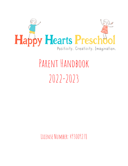

# PARENT HANDBOOK  $2022-2023$

LICENSE NUMBER: 493009278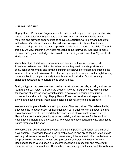#### OUR PHILOSOPHY

Happy Hearts Preschool Program is child-centered, with a play-based philosophy. We believe children learn through active exploration in an environment that is rich in materials and provides opportunities to converse, socialize, work, play and negotiate with others. Our classrooms are planned to encourage curiosity, exploration and problem solving. We believe that purposeful play is the true work of the child. Through this play we view children as thinkers reflecting about their world. Learning to make decisions and gain knowledge. We provide this learning environment for 2 year olds to kindergartners.

We believe that all children deserve respect, love and attention. Happy Hearts Preschool believes that children learn best when they are in a safe, positive and stimulating environment; one in which children are allowed to explore and imagine the what-if's of the world. We strive to foster age appropriate development through learning opportunities that happen naturally through play and curiosity. Our job as early childhood educators is to nurture these opportunities.

During a typical day there are structured and unstructured periods, allowing children to learn at their own rates. Children are actively involved in experiences, which include foundations of math, science, social studies, creative art, language arts, music, movement and dramatic play. Happy Hearts Preschool considers all aspects of child's growth and development- intellectual, social, emotional, physical and creative.

We have a strong emphasis on the importance of Mother Nature. We believe that by educating the next generation of their impact on our planet- we can empower them to protect and care for it. In a world that has become so electronically driven, Happy Hearts believes there is great importance in raising children to care for the earth and have a love of nature and the outdoors. We celebrate each season and it's changes to nature throughout the year.

We believe that socialization at a young age is an important component to children's development. By allowing the children to problem solve and giving them the tools to do so in a positive way, we are helping to create strong interpersonal skills. We believe in the positive discipline method, first designed by Alfred Adler and Rudolf Dreikurs. Designed to teach young people to become responsible, respectful and resourceful members of their communities. This method "teaches important social and life skills in a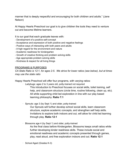manner that is deeply respectful and encouraging for both children and adults." (Jane Nelson)

At Happy Hearts Preschool our goal is to give children the tools they need to venture out and become lifetime learners.

It is our goal that each graduate leaves with:

- Development of a positive self-concept
- Acceptance and expression of both positive and negative feelings
- Positive ways of interacting with both peers and adults
- A high regard for the environment and nature
- Academic readiness for kindergarten
- Growth of creative thinking and problem solving skills
- Age appropriate problem solving skills
- Kindness & respect for all living things

#### PROGRAMS & PURPOSES

*CA State Ratio is 12:1, for ages 2-5. We strive for lower ratios (see below), but at times may use the state ratio*

Happy Hearts Preschool will offer four programs, with varying ratios:

- · Ladybugs: ages 2 to 3 years old, potty-trained not required
	- This introduction to Preschool focuses on social skills, toilet training, self help, and classroom structure (circle time, routine following, clean up, etc). All while supporting child led exploration in line with our play based learning philosophy. **Ratio 7:1**
- · Sprouts: age 3 (by Sept 1) and older, potty-trained

Our Sprouts will further develop school social skills, learn classroom structure, explore academic concepts, and strengthen self help skills. Invitations to explore both indoors and out, will allow for child led learning through play. **Ratio 12:1**

· Blossoms age 4 (by Sept 1) and older, potty-trained

As the final class before Kindergarten, Blossoms keeps small ratios while further developing kinder readiness skills. These include social and emotional readiness and academic concepts presented through games, play, read aloud, and free exploration indoors and out. **Ratio 12:1**

· School Aged (Grades K-3)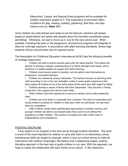Afterschool, Camps, and Special Event programs will be available for children entering/in grades K-3. This explorative environment offers invitations for play, reading, building, gardening, field trips, and play indoors and out. **Ratio 12:1**

Once children are potty-trained and ready to join the Sprouts, teachers will assess based on observations and speak with parents about the transition (enrollment space permitting). Otherwise, we wait to move up in July for the new school year. When possible, including free play on the playground, all preschool programs will integrate to allow for multi-age exposure. In accordance with state licensing standards, School Age students will join preschoolers only for special events.

The Association for Childhood Education International (ACEI) lists the following benefits of multiage classrooms:

> • Children are able to spend several years with the same teacher. This allows the teacher to develop a deeper understanding of a child's strengths and needs, and is therefore in a better position to support the child's learning.

• Children have several years to develop, and are able to see themselves as progressive, successful learners.

• Children are viewed as unique individuals. The teacher focuses on teaching each child according to his or her own strengths, unlike in same-grade classrooms that often expect all children to be at the same place at the same time with regard to ability.

• Children develop a sense of family with their classmates. They become a "family of learners" who support and care for each other.

• Older children have the opportunity to serve as mentors and to take leadership roles.

• Children are more likely to cooperate than compete. The spirit of cooperation and caring makes it possible for children to help each other as individuals, not see each other as competitors.

• Older children model more sophisticated approaches to problem solving, and younger children are able to accomplish tasks they could not do without the assistance of older children. This dynamic increases the older child's level of independence and competence.

#### POSITIVE DISCIPLINE

A key aspect to our program is the work we do through positive discipline. This work is some of the most important for children to carry with them on to elementary school. Interpersonal skills are taught by example, which is why our school strives to make all interactions with children meaningful. We believe that a relationship-based, positive discipline approach is the best way to guide children in our care. With this approach, we hope to create this relationship with each family at our school. In the classroom,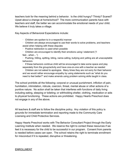teachers look for the meaning behind a behavior. Is the child hungry? Thirsty? Scared? Upset about a change at home/school? The more communication parents have with teachers and staff, the better we can accommodate the emotional needs of your child. We believe it truly takes a village.

Key Aspects of Behavioral Expectations include:

· Children are spoken to in a respectful manner

· Children are always encouraged to use their words to solve problems, and teachers assist when helping with these disputes

· Positive redirection is used when possible

· Children are encouraged to identify their emotions using I statement ("I feel…when…")

· Pushing, hitting, spitting, biting, name-calling, bullying and yelling are all unacceptable behaviors

· If these behaviors continue child will be encouraged to take some space and play separately from the group/activity and have one-on-one with a teacher as needed

· Children are not asked to apologize. Many times they are not sorry for their behavior and we would rather encourage empathy by using statements such as "what do you need to feel better?" and make amends using problem solving skills taught in class.

The school prohibits all the following: corporal or unusual punishment, infliction of pain, humiliation, intimidation, ridicule, coercion, threat, mental abuse or other actions of a punitive nature. No action shall be taken that interferes with functions of daily living including eating, sleeping or toileting; or withholding shelter, clothing, medication or aids to physical functioning. These actions are prohibited. Happy Hearts Preschool does not engage in any of the above.

All teachers & staff are to follow the discipline policy. Any violation of this policy is grounds for immediate termination and reporting made to the Community Care Licensing and Child Protective Services.

Happy Hearts Preschool works with The Behavior Consultant Project through the Early Learning Institute when needed. We reserve the right to contact these resources if we feel it is necessary for the child to be successful in our program. Consent from parents is needed before cases can open. The school retains the right to terminate enrollment for misconduct if it is repeated, disruptive or threatening.

#### ENROLLMENT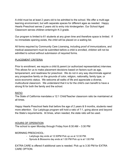A child must be at least 2 years old to be admitted to the school. We offer a multi-age learning environment, but with separate spaces for different ages as needed. Happy Hearts Preschool serves 2 years old to entry into kindergarten. Our School Aged Classroom serves children entering/in K-3 grade.

Our program is limited to 61 students at any given time and therefore space is limited. If no immediate opening exists, the child will be placed on a waiting list.

All forms required by Community Care Licensing, including proof of immunizations, and medical assessment must be submitted before a child is enrolled, children will not be admitted to school without submission of required forms.

#### PLACEMENT CRITERIA

Prior to enrollment, we require a child & parent (or authorized representative) interview. This allows for us to make placement decisions based on factors such as age, temperament, and readiness for preschool. We do not in any way discriminate against any prospective family on the grounds of color, religion, nationality, family type, or socio-economic status. We welcome all walks of life and appreciate a diverse, multicultural classroom. We understand that it is for the child's own benefit to have a strong fit for both the family and the school.

#### RATIO

The State of California mandates a 12:1 Child/Teacher classroom ratio be maintained at all times.

Happy Hearts Preschool feels that before the age of 2 years & 9 months, students need more attention. Our Ladybugs program will hold a ratio of 7:1, going above and beyond the State's requirements. At times, when needed, the state ratio will be used.

#### HOURS OF OPERATION

The school is open Monday through Friday from 8:30 AM – 3:30 PM

#### MORNING PRESCHOOL:

- Ladybugs day ends at 12:30PM Pick up us at 12:30 PM.
- Sprouts & Blossoms day ends at 1:00 PM Pick up is at 1:00 PM

EXTRA CARE is offered if additional care is needed. Pick up is 3:30 PM for EXTRA CARE OPTION.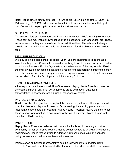Note: Pickup time is strictly enforced. Failure to pick up child on or before 12:30/1:00 PM (morning), 3:30 PM (extra care) will result in a \$1/minute late fee for all late pick ups. Continued late pickup is grounds for immediate termination.

#### SUPPLEMENTARY SERVICES

The school offers supplementary activities to enhance your child's learning experience. These services may include: gymnastics, music lessons, foreign languages, art. These services are voluntary and are offered for an additional fee. The school will always provide parents with advanced notice of all services offered & allow for time to collect fees.

#### FIELD TRIP PROVISIONS

We may take field trips during the school year. You are encouraged to attend as a volunteer/chaperone. Some field trips will be walking to local places nearby such as the local library, Redwood Empire Gymnastics, and other areas of the fairgrounds. Field trips will always be scheduled in advance & require enough parent volunteers to safely leave the school and meet all requirements. If requirements are not met, field trips may be canceled. \*Ratio for field trips is 1 adult for every 6 children

#### TRANSPORTATION ARRANGEMENTS

All transportation is the responsibility of the parent. Happy Hearts Preschool does not transport children at any time. Arrangements are to be made in advance if transportation is necessary for field trips or other special events.

#### PHOTOGRAPHY & VIDEO

Children will be photographed throughout the day as they interact. These photos will be used for classroom displays & projects. Documenting the learning process is an important component to our program. Happy Hearts Preschool retains the right to use these images for marketing, brochure and websites. If a parent objects, the school must be notified in writing

#### PARENT RIGHTS

Happy Hearts Preschool believes that communication is key in creating a positive community for our children to flourish. Please do not hesitate to talk with any teachers regarding any issues that you wish to address. Our school maintains an open door policy. A parent can call for a conference for any reason.

Parents or an authorized representative has the following state-mandated rights:

1. Enter and inspect the school without advance notice whenever children are in care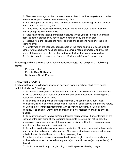2. File a complaint against the licensee (the school) with the licensing office and review the licensee's public file kept by the licensing office

3. Review reports of licensing visits and substantiated complaints against the licensee made during the last three years.

4. Complain to the licensing office and inspect the school without discrimination or retaliation against you or your child

5. Request in writing that a parent not be allowed to visit your child or take your child from the school provided you have shown a certified copy of a court order

6. Receive from the licensee the name, address and telephone number of the local licensing office

7. Be informed by the licensee, upon request, of the name and type of association to school for any adult who has been granted a criminal record exemption, and that the name of the person may also be obtained by contacting the local licensing office

8. Receive from the licensee the Caregiver Background Check Process Form

Parents/guardians are required to review & acknowledge the receipt of the following forms:

- · Personal Rights
- · Parents' Right Notification
- · Background Check Process

#### CHILDREN'S RIGHTS

Each child that is enrolled and receiving services from our school shall have rights, which include the following:

1. To be accorded dignity in his/her personal relationships with staff and other persons

2. TO be accorded safe, healthful and comfortable accommodations, furnishings and equipment to meet his/her needs

3. To be free from corporal or unusual punishment, infliction of pain, humiliation, intimidation, ridicule, coercion, threat, mental abuse, or other actions of a punitive nature, including but not limited to: interference with daily living functions, including eating, sleeping, or toileting; or withholding of shelter, clothing, medication or aids to physical function

4. To be informed, and to have his/her authorized representative, if any, informed by the licensee of the provisions of law regarding complaints including, but not limited, the address and telephone number of the complaint receiving until of the licensing agency and of information regarding confidentiality.

5. To be free to attend religious services or activities of his/her choice and to have visits from the spiritual advisor of his/her choice. Attendance at religious services, either in or outside the facility, shall be on a completely voluntary basis.

6. In the school, decisions concerning attendance at religious services or visits from spiritual advisors shall be made by the parents(s), domestic partner(s), or guardian(s) of the child.

7. Not to be locked in any room, building, or facility premises by day or night.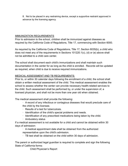8. Not to be placed in any restraining device, except a supportive restraint approved in advance by the licensing agency.

#### IMMUNIZATION REQUIREMENTS

Prior to admission to the school, children shall be immunized against diseases as required by the California Code of Regulations, Title 17, commencing with Section 6000.

As required by the California Code of Regulations, Title 17, Section 6035(b), a child who does not meet any of the requirements in Sections 101220.1(c), (d) or (e) above shall not be admitted to a child care center.

The school shall document each child's immunizations and shall maintain such documentation in the center for as long as the child is enrolled. Records will be updated as required, when child is due to receive required immunizations.

#### MEDICAL ASSESSMENT AND TB REQUIREMENTS

Prior to, or within 30 calendar days following the enrollment of a child, the school shall obtain a written medical assessment of the child. This medical assessment enables the school to assess whether the center can provide necessary health-related services to the child. Such assessment shall be performed by, or under the supervision of, a licensed physician, and shall not be more than one year old when obtained.

The medical assessment shall provide the following:

· A record of any infectious or contagious diseases that would preclude care of the child by the licensee.

- · Results of a test for tuberculosis.
- · Identification of the child's special problems and needs.
- · Identification of any prescribed medications being taken by the child.
- · Ambulatory status

If a medical assessment is not available for a child and cannot be obtained within 30 days of admission:

· A medical appointment date shall be obtained from the authorized representative upon the child's admission.

· TB test shall be obtained on the child within 30 days of admission.

The parent or authorized legal guardian is required to complete and sign the following State of California forms:

Child Physician's Report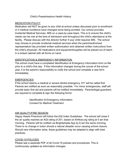#### Child's Preadmissions Health History

#### MEDICATION POLICY

Medication will NOT be given to any child at school unless discussed prior to enrollment or if medical conditions have changed since being enrolled. Our school provides Incidental Medical Services- IMS on a case-by-case basis. This is to ensure the child's needs can be met at the time of admission and throughout the child's attendance at the facility. Please discuss with the director further if your child requires IMS. The school may choose to provide incidental medical services when the parent/authorized representative has provided written authorization and obtained written instructions from the child's physician. All medications and equipment/supplies will be placed out of reach in a locked cabinet with all forms on hand.

#### IDENTIFICATION & EMERGENCY INFORMATION

The school must have a completed Identification & Emergency Information form on-file prior to a child's first day. If this information changes during the course of the school year, it is the parent's responsibility to notify the school and complete a new form immediately.

#### EMERGENCIES

If the school deems a medical or severe dental emergency, 911 will be called first. Parents are notified as soon as reasonably possible. For minor emergencies, staff will provide basic first aid and parents will be notified immediately. Parents/legal guardians are required to complete & sign the following forms:

- · Identification & Emergency Information
- · Consent for Medical Treatment

#### AIR QUALITY/FIRE SEASON

Happy Hearts Preschool will follow the AQI Index Guidelines. The school will close if the air quality reaches an AQI rating of 201, based on AIrNow.org rating at 5 am that morning. Parents will be notified via Brightwheels App by 6 am the same morning. There is no change in tuiton should a natural disaster occur causing school closure. Should new information arise, these guidelines may be adapted to align with best practices.

#### COVID-19 POLICIES

Please see a separate PDF of all Covid-19 policies and procedures. This is continuously updated as information changes.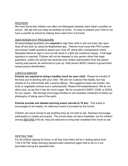#### **PACIFIERS**

We have found that children can often not distinguish between each other's pacifiers at school. We ask that you keep all pacifiers at home. It's best to prepare your child to not have a pacifier at school by helping them ween from it at home.

#### SIGN IN/SIGN OUT PROCEDURE

All parents/legal guardians are **required** to sign their child in and out every day upon drop off and pick up using the Brightwheel app. Parents must know their PIN number and answer health questions asked upon drop off, along with a temperature check. Repeated failure to sign-in and out will result in a \$20 per incidence charge. A full legal signature is required. Children will not be released to any person other than legal guardians, unless the school has received prior written authorization from the parent, naming said person as authorized to pick up. Said person MUST present a government issued picture identification.

#### LUNCH & SNACKS

**Parents are required to bring a healthy lunch for your child**. Please be mindful of the food you're sending with your child. We are not a peanut free facility, but may choose to if a child enrolls with a peanut allergy. We suggest at least one protein, two fruits or vegetable choices and a carbohydrate. Please limit treats/desserts. We do not allow juice, as we find it has too much sugar. We do not permit CANDY, GUM, or SODA for any reason. We strongly encourage families to use reusable containers to follow our philosophy of taking care of the earth.

**Parents provide one labeled morning snack (served at 10 am)**. This snack is encouraged to be healthy. An afternoon snack is provided by the school

Children are never forced to eat anything they do not wish to eat. Teachers encourage participation in meals and snacks. The school does not serve breakfast, but for children arriving **BEFORE 9:00 am, they are welcome to bring their breakfast from home to eat.** 

#### RESTING TIME

For all children staying for Extra, or all Day Care there will be a resting period from 1:00-2:30 PM. State licensing requires each preschool aged child to be on a cot (provided) during the specified time.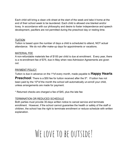Each child will bring a clean crib sheet at the start of the week and take it home at the end of their school week to be laundered. Each child is allowed one blanket and/or lovey. In accordance with our philosophy and desire to foster independence and speech development, pacifiers are not permitted during the preschool day or resting time.

#### TUITION

Tuition is based upon the number of days a child is scheduled to attend, NOT actual attendance. We do not offer make-up days for appointments or vacations.

#### MATERIAL FEE

A non-refundable materials fee of \$100 per child is due at enrollment. Every year, there is a re-enrollment fee of \$75, due in May when new Admission Agreements are given out.

#### PAYMENT POLICY

Tuition is due in advance on the 1stof every month, made payable to **Happy Hearts**

**Preschool**. There is a \$50 fee for tuition received after the 5<sup>th</sup>. If tuition has not been paid by the  $10<sup>th</sup>$  of the month the school will automatically un-enroll your child, unless arrangements are made for payment.

\* Returned checks are charged a fee of \$45, plus the late fee

#### TERMINATION OR REDUCED SCHEDULE

Both parties must provide 30-days written notice to cancel service and terminate enrollment. However, if the school cannot guarantee the health or safety of the staff or children, the school has the right to terminate enrollment or reduce schedule with written explanation.

### WE LOVE TO BE OUTSIDE!